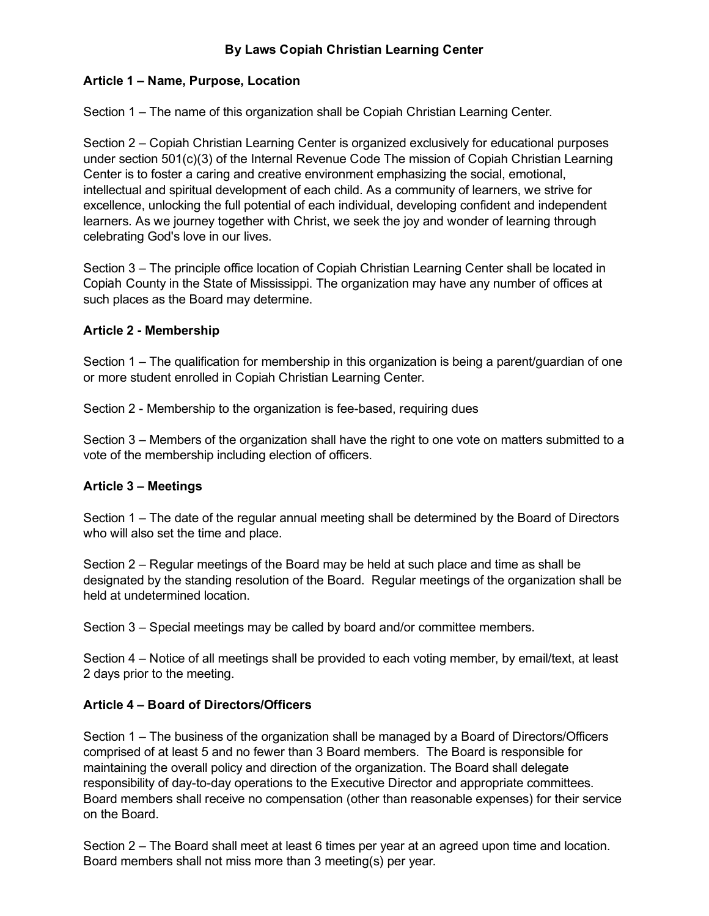# By Laws Copiah Christian Learning Center

## Article 1 – Name, Purpose, Location

Section 1 – The name of this organization shall be Copiah Christian Learning Center.

Section 2 – Copiah Christian Learning Center is organized exclusively for educational purposes under section 501(c)(3) of the Internal Revenue Code The mission of Copiah Christian Learning Center is to foster a caring and creative environment emphasizing the social, emotional, intellectual and spiritual development of each child. As a community of learners, we strive for excellence, unlocking the full potential of each individual, developing confident and independent learners. As we journey together with Christ, we seek the joy and wonder of learning through celebrating God's love in our lives.

Section 3 – The principle office location of Copiah Christian Learning Center shall be located in Copiah County in the State of Mississippi. The organization may have any number of offices at such places as the Board may determine.

## Article 2 Membership

Section 1 – The qualification for membership in this organization is being a parent/guardian of one or more student enrolled in Copiah Christian Learning Center.

Section 2 - Membership to the organization is fee-based, requiring dues

Section 3 – Members of the organization shall have the right to one vote on matters submitted to a vote of the membership including election of officers.

### Article 3 – Meetings

Section 1 – The date of the regular annual meeting shall be determined by the Board of Directors who will also set the time and place.

Section 2 – Regular meetings of the Board may be held at such place and time as shall be designated by the standing resolution of the Board. Regular meetings of the organization shall be held at undetermined location.

Section 3 – Special meetings may be called by board and/or committee members.

Section 4 – Notice of all meetings shall be provided to each voting member, by email/text, at least 2 days prior to the meeting.

### Article 4 – Board of Directors/Officers

Section 1 – The business of the organization shall be managed by a Board of Directors/Officers comprised of at least 5 and no fewer than 3 Board members. The Board is responsible for maintaining the overall policy and direction of the organization. The Board shall delegate responsibility of day-to-day operations to the Executive Director and appropriate committees. Board members shall receive no compensation (other than reasonable expenses) for their service on the Board.

Section 2 – The Board shall meet at least 6 times per year at an agreed upon time and location. Board members shall not miss more than 3 meeting(s) per year.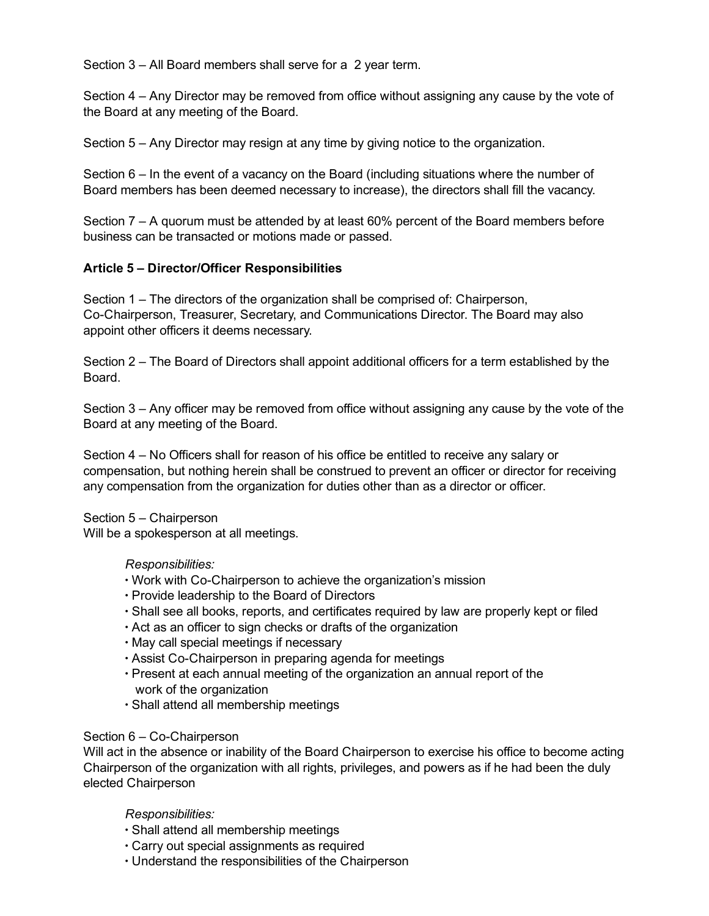Section 3 – All Board members shall serve for a 2 year term.

Section 4 – Any Director may be removed from office without assigning any cause by the vote of the Board at any meeting of the Board.

Section 5 – Any Director may resign at any time by giving notice to the organization.

Section 6 – In the event of a vacancy on the Board (including situations where the number of Board members has been deemed necessary to increase), the directors shall fill the vacancy.

Section 7 – A quorum must be attended by at least 60% percent of the Board members before business can be transacted or motions made or passed.

## Article 5 – Director/Officer Responsibilities

Section 1 – The directors of the organization shall be comprised of: Chairperson, CoChairperson, Treasurer, Secretary, and Communications Director. The Board may also appoint other officers it deems necessary.

Section 2 – The Board of Directors shall appoint additional officers for a term established by the Board.

Section 3 – Any officer may be removed from office without assigning any cause by the vote of the Board at any meeting of the Board.

Section 4 – No Officers shall for reason of his office be entitled to receive any salary or compensation, but nothing herein shall be construed to prevent an officer or director for receiving any compensation from the organization for duties other than as a director or officer.

Section 5 – Chairperson

Will be a spokesperson at all meetings.

### Responsibilities:

- Work with Co-Chairperson to achieve the organization's mission
- ∙ Provide leadership to the Board of Directors
- ∙ Shall see all books, reports, and certificates required by law are properly kept or filed
- ∙ Act as an officer to sign checks or drafts of the organization
- ∙ May call special meetings if necessary
- ∙ Assist CoChairperson in preparing agenda for meetings
- ∙ Present at each annual meeting of the organization an annual report of the work of the organization
- ∙ Shall attend all membership meetings

### Section  $6 - Co$ -Chairperson

Will act in the absence or inability of the Board Chairperson to exercise his office to become acting Chairperson of the organization with all rights, privileges, and powers as if he had been the duly elected Chairperson

### Responsibilities:

- ∙ Shall attend all membership meetings
- ∙ Carry out special assignments as required
- ∙ Understand the responsibilities of the Chairperson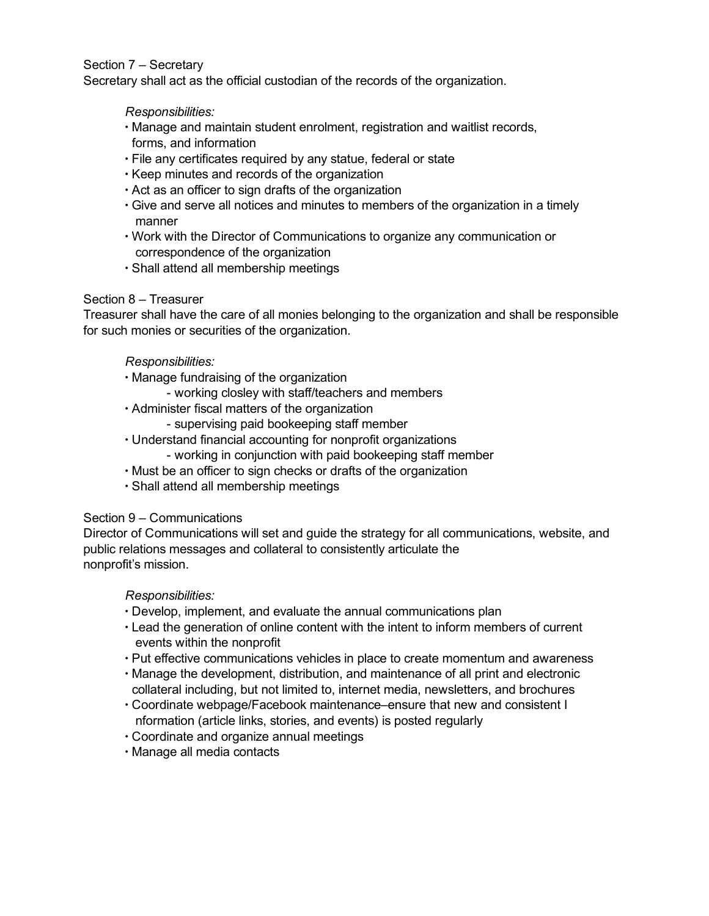### Section 7 – Secretary

Secretary shall act as the official custodian of the records of the organization.

#### Responsibilities:

- ∙ Manage and maintain student enrolment, registration and waitlist records, forms, and information
- ∙ File any certificates required by any statue, federal or state
- ∙ Keep minutes and records of the organization
- ∙ Act as an officer to sign drafts of the organization
- ∙ Give and serve all notices and minutes to members of the organization in a timely manner
- ∙ Work with the Director of Communications to organize any communication or correspondence of the organization
- ∙ Shall attend all membership meetings

### Section 8 – Treasurer

Treasurer shall have the care of all monies belonging to the organization and shall be responsible for such monies or securities of the organization.

### Responsibilities:

- ∙ Manage fundraising of the organization
	- working closley with staff/teachers and members
- ∙ Administer fiscal matters of the organization
	- supervising paid bookeeping staff member
- ∙ Understand financial accounting for nonprofit organizations
	- working in conjunction with paid bookeeping staff member
- ∙ Must be an officer to sign checks or drafts of the organization
- ∙ Shall attend all membership meetings

### Section 9 – Communications

Director of Communications will set and guide the strategy for all communications, website, and public relations messages and collateral to consistently articulate the nonprofit's mission.

### Responsibilities:

- ∙ Develop, implement, and evaluate the annual communications plan
- ∙ Lead the generation of online content with the intent to inform members of current events within the nonprofit
- ∙ Put effective communications vehicles in place to create momentum and awareness
- ∙ Manage the development, distribution, and maintenance of all print and electronic collateral including, but not limited to, internet media, newsletters, and brochures
- ∙ Coordinate webpage/Facebook maintenance–ensure that new and consistent I nformation (article links, stories, and events) is posted regularly
- ∙ Coordinate and organize annual meetings
- ∙ Manage all media contacts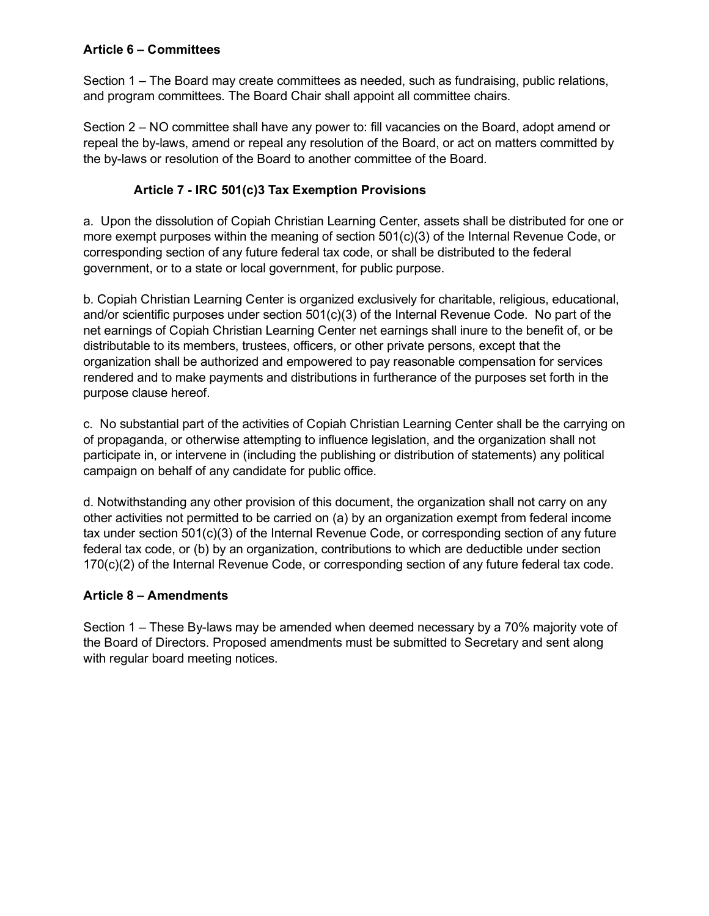# Article 6 – Committees

Section 1 – The Board may create committees as needed, such as fundraising, public relations, and program committees. The Board Chair shall appoint all committee chairs.

Section 2 – NO committee shall have any power to: fill vacancies on the Board, adopt amend or repeal the by-laws, amend or repeal any resolution of the Board, or act on matters committed by the by-laws or resolution of the Board to another committee of the Board.

# Article 7 - IRC 501(c)3 Tax Exemption Provisions

a. Upon the dissolution of Copiah Christian Learning Center, assets shall be distributed for one or more exempt purposes within the meaning of section 501(c)(3) of the Internal Revenue Code, or corresponding section of any future federal tax code, or shall be distributed to the federal government, or to a state or local government, for public purpose.

b. Copiah Christian Learning Center is organized exclusively for charitable, religious, educational, and/or scientific purposes under section 501(c)(3) of the Internal Revenue Code. No part of the net earnings of Copiah Christian Learning Center net earnings shall inure to the benefit of, or be distributable to its members, trustees, officers, or other private persons, except that the organization shall be authorized and empowered to pay reasonable compensation for services rendered and to make payments and distributions in furtherance of the purposes set forth in the purpose clause hereof.

c. No substantial part of the activities of Copiah Christian Learning Center shall be the carrying on of propaganda, or otherwise attempting to influence legislation, and the organization shall not participate in, or intervene in (including the publishing or distribution of statements) any political campaign on behalf of any candidate for public office.

d. Notwithstanding any other provision of this document, the organization shall not carry on any other activities not permitted to be carried on (a) by an organization exempt from federal income tax under section 501(c)(3) of the Internal Revenue Code, or corresponding section of any future federal tax code, or (b) by an organization, contributions to which are deductible under section 170(c)(2) of the Internal Revenue Code, or corresponding section of any future federal tax code.

# Article 8 – Amendments

Section  $1$  – These By-laws may be amended when deemed necessary by a 70% majority vote of the Board of Directors. Proposed amendments must be submitted to Secretary and sent along with regular board meeting notices.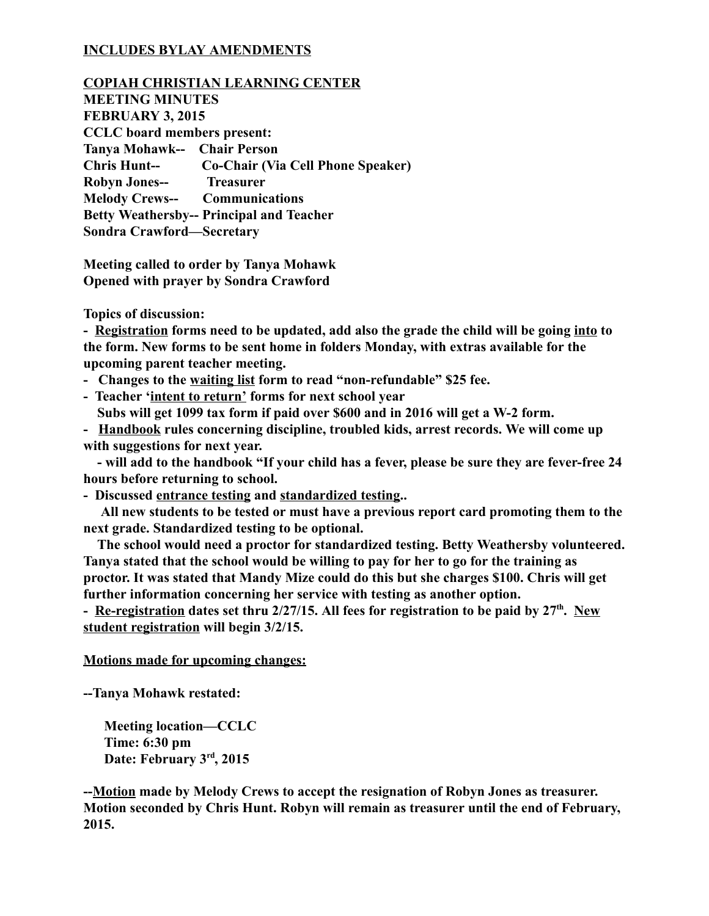# INCLUDES BYLAY AMENDMENTS

COPIAH CHRISTIAN LEARNING CENTER MEETING MINUTES FEBRUARY 3, 2015 CCLC board members present: Tanya Mohawk-- Chair Person Chris Hunt-- Co-Chair (Via Cell Phone Speaker) Robyn Jones-- Treasurer **Melody Crews-- Communications** Betty Weathersby-- Principal and Teacher Sondra Crawford—Secretary

Meeting called to order by Tanya Mohawk Opened with prayer by Sondra Crawford

Topics of discussion:

- Registration forms need to be updated, add also the grade the child will be going into to the form. New forms to be sent home in folders Monday, with extras available for the upcoming parent teacher meeting.

- Changes to the waiting list form to read "non-refundable" \$25 fee.
- Teacher 'intent to return' forms for next school year
- Subs will get 1099 tax form if paid over \$600 and in 2016 will get a W-2 form.

- Handbook rules concerning discipline, troubled kids, arrest records. We will come up with suggestions for next year.

- will add to the handbook "If your child has a fever, please be sure they are fever-free 24 hours before returning to school.

- Discussed entrance testing and standardized testing..

All new students to be tested or must have a previous report card promoting them to the next grade. Standardized testing to be optional.

The school would need a proctor for standardized testing. Betty Weathersby volunteered. Tanya stated that the school would be willing to pay for her to go for the training as proctor. It was stated that Mandy Mize could do this but she charges \$100. Chris will get further information concerning her service with testing as another option.

- Re-registration dates set thru 2/27/15. All fees for registration to be paid by 27<sup>th</sup>. New student registration will begin 3/2/15.

### Motions made for upcoming changes:

Tanya Mohawk restated:

Meeting location—CCLC Time: 6:30 pm Date: February 3rd, 2015

--Motion made by Melody Crews to accept the resignation of Robyn Jones as treasurer. Motion seconded by Chris Hunt. Robyn will remain as treasurer until the end of February, 2015.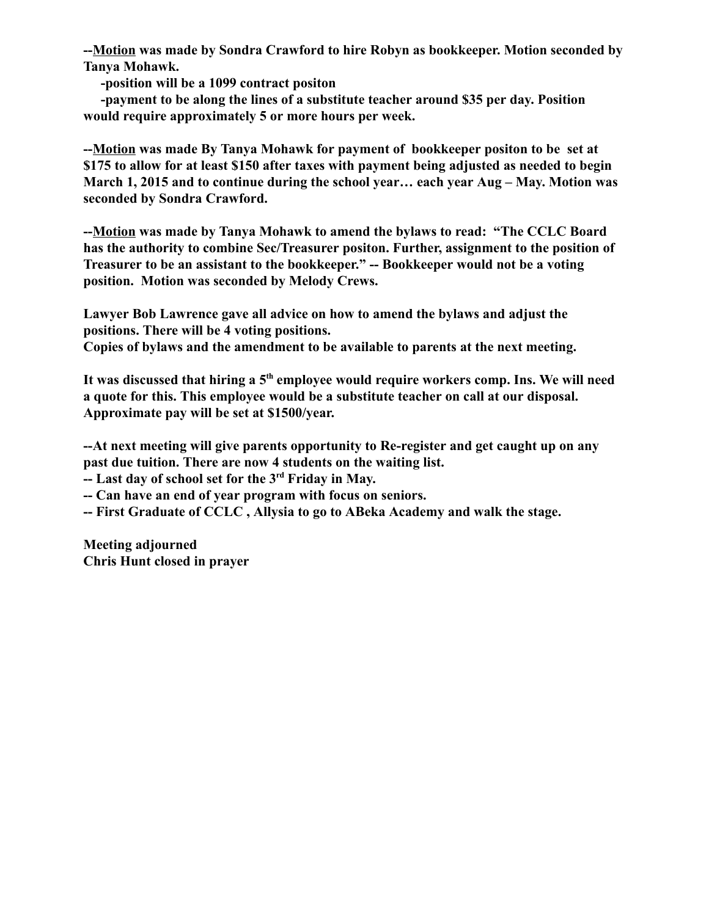--Motion was made by Sondra Crawford to hire Robyn as bookkeeper. Motion seconded by Tanya Mohawk.

position will be a 1099 contract positon

payment to be along the lines of a substitute teacher around \$35 per day. Position would require approximately 5 or more hours per week.

Motion was made By Tanya Mohawk for payment of bookkeeper positon to be set at \$175 to allow for at least \$150 after taxes with payment being adjusted as needed to begin March 1, 2015 and to continue during the school year… each year Aug – May. Motion was seconded by Sondra Crawford.

Motion was made by Tanya Mohawk to amend the bylaws to read: "The CCLC Board has the authority to combine Sec/Treasurer positon. Further, assignment to the position of Treasurer to be an assistant to the bookkeeper." -- Bookkeeper would not be a voting position. Motion was seconded by Melody Crews.

Lawyer Bob Lawrence gave all advice on how to amend the bylaws and adjust the positions. There will be 4 voting positions.

Copies of bylaws and the amendment to be available to parents at the next meeting.

It was discussed that hiring a 5<sup>th</sup> employee would require workers comp. Ins. We will need a quote for this. This employee would be a substitute teacher on call at our disposal. Approximate pay will be set at \$1500/year.

--At next meeting will give parents opportunity to Re-register and get caught up on any past due tuition. There are now 4 students on the waiting list.

-- Last day of school set for the 3<sup>rd</sup> Friday in May.

- Can have an end of year program with focus on seniors.
- First Graduate of CCLC , Allysia to go to ABeka Academy and walk the stage.

Meeting adjourned Chris Hunt closed in prayer